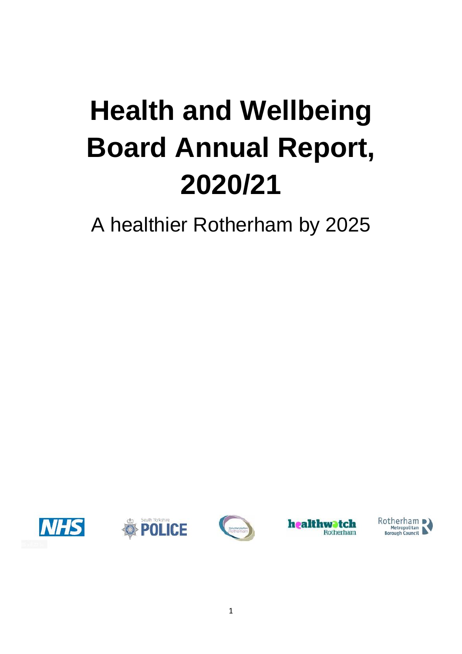# **Health and Wellbeing Board Annual Report, 2020/21**

A healthier Rotherham by 2025









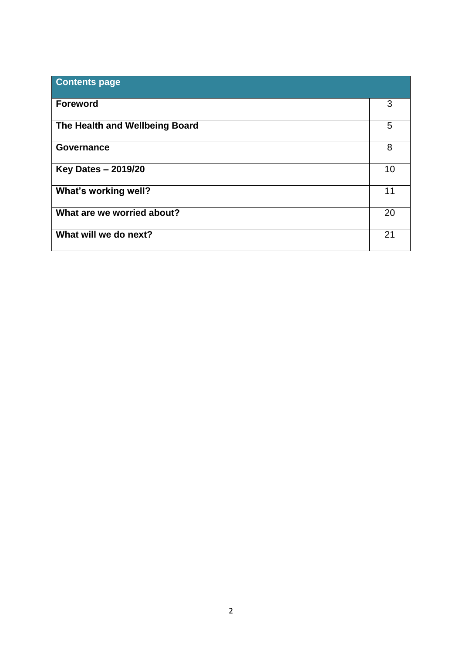| <b>Contents page</b>           |    |
|--------------------------------|----|
| <b>Foreword</b>                | 3  |
| The Health and Wellbeing Board | 5  |
| Governance                     | 8  |
| <b>Key Dates - 2019/20</b>     | 10 |
| What's working well?           | 11 |
| What are we worried about?     | 20 |
| What will we do next?          | 21 |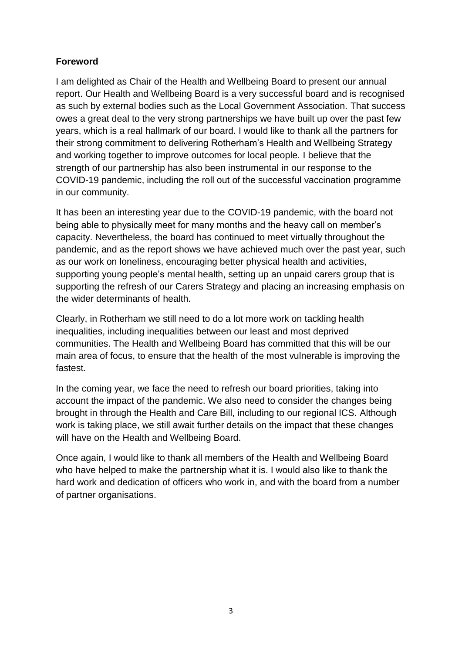# **Foreword**

I am delighted as Chair of the Health and Wellbeing Board to present our annual report. Our Health and Wellbeing Board is a very successful board and is recognised as such by external bodies such as the Local Government Association. That success owes a great deal to the very strong partnerships we have built up over the past few years, which is a real hallmark of our board. I would like to thank all the partners for their strong commitment to delivering Rotherham's Health and Wellbeing Strategy and working together to improve outcomes for local people. I believe that the strength of our partnership has also been instrumental in our response to the COVID-19 pandemic, including the roll out of the successful vaccination programme in our community.

It has been an interesting year due to the COVID-19 pandemic, with the board not being able to physically meet for many months and the heavy call on member's capacity. Nevertheless, the board has continued to meet virtually throughout the pandemic, and as the report shows we have achieved much over the past year, such as our work on loneliness, encouraging better physical health and activities, supporting young people's mental health, setting up an unpaid carers group that is supporting the refresh of our Carers Strategy and placing an increasing emphasis on the wider determinants of health.

Clearly, in Rotherham we still need to do a lot more work on tackling health inequalities, including inequalities between our least and most deprived communities. The Health and Wellbeing Board has committed that this will be our main area of focus, to ensure that the health of the most vulnerable is improving the fastest.

In the coming year, we face the need to refresh our board priorities, taking into account the impact of the pandemic. We also need to consider the changes being brought in through the Health and Care Bill, including to our regional ICS. Although work is taking place, we still await further details on the impact that these changes will have on the Health and Wellbeing Board.

Once again, I would like to thank all members of the Health and Wellbeing Board who have helped to make the partnership what it is. I would also like to thank the hard work and dedication of officers who work in, and with the board from a number of partner organisations.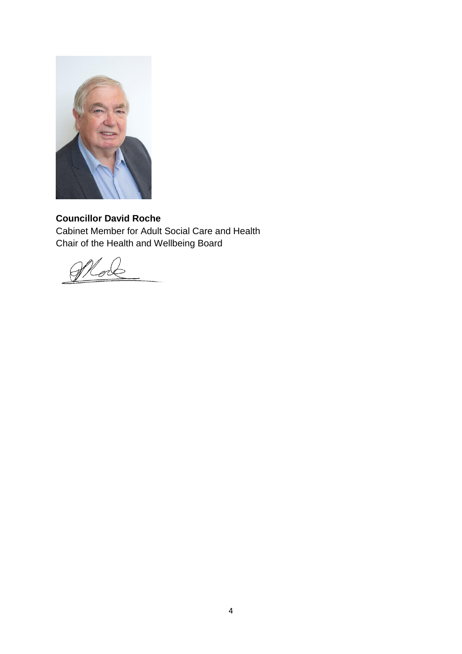

# **Councillor David Roche**  Cabinet Member for Adult Social Care and Health Chair of the Health and Wellbeing Board

 $\mathscr{D}$ '<br>-C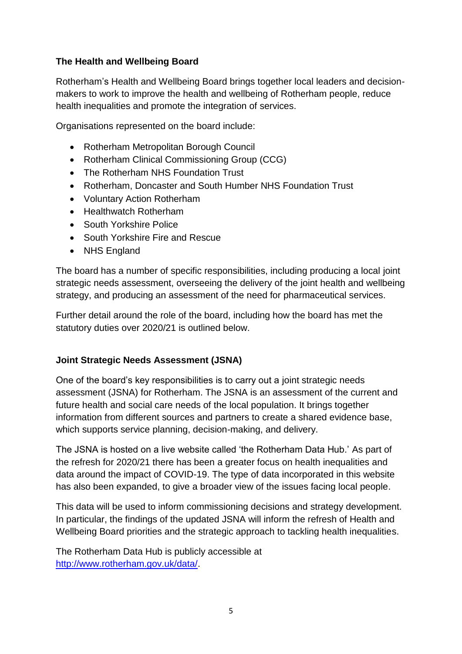# **The Health and Wellbeing Board**

Rotherham's Health and Wellbeing Board brings together local leaders and decisionmakers to work to improve the health and wellbeing of Rotherham people, reduce health inequalities and promote the integration of services.

Organisations represented on the board include:

- Rotherham Metropolitan Borough Council
- Rotherham Clinical Commissioning Group (CCG)
- The Rotherham NHS Foundation Trust
- Rotherham, Doncaster and South Humber NHS Foundation Trust
- Voluntary Action Rotherham
- Healthwatch Rotherham
- South Yorkshire Police
- South Yorkshire Fire and Rescue
- NHS England

The board has a number of specific responsibilities, including producing a local joint strategic needs assessment, overseeing the delivery of the joint health and wellbeing strategy, and producing an assessment of the need for pharmaceutical services.

Further detail around the role of the board, including how the board has met the statutory duties over 2020/21 is outlined below.

#### **Joint Strategic Needs Assessment (JSNA)**

One of the board's key responsibilities is to carry out a joint strategic needs assessment (JSNA) for Rotherham. The JSNA is an assessment of the current and future health and social care needs of the local population. It brings together information from different sources and partners to create a shared evidence base, which supports service planning, decision-making, and delivery.

The JSNA is hosted on a live website called 'the Rotherham Data Hub.' As part of the refresh for 2020/21 there has been a greater focus on health inequalities and data around the impact of COVID-19. The type of data incorporated in this website has also been expanded, to give a broader view of the issues facing local people.

This data will be used to inform commissioning decisions and strategy development. In particular, the findings of the updated JSNA will inform the refresh of Health and Wellbeing Board priorities and the strategic approach to tackling health inequalities.

The Rotherham Data Hub is publicly accessible at [http://www.rotherham.gov.uk/data/.](http://www.rotherham.gov.uk/data/)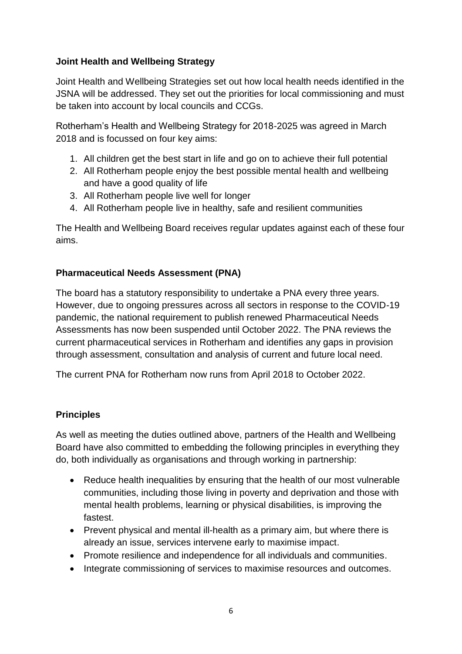# **Joint Health and Wellbeing Strategy**

Joint Health and Wellbeing Strategies set out how local health needs identified in the JSNA will be addressed. They set out the priorities for local commissioning and must be taken into account by local councils and CCGs.

Rotherham's Health and Wellbeing Strategy for 2018-2025 was agreed in March 2018 and is focussed on four key aims:

- 1. All children get the best start in life and go on to achieve their full potential
- 2. All Rotherham people enjoy the best possible mental health and wellbeing and have a good quality of life
- 3. All Rotherham people live well for longer
- 4. All Rotherham people live in healthy, safe and resilient communities

The Health and Wellbeing Board receives regular updates against each of these four aims.

# **Pharmaceutical Needs Assessment (PNA)**

The board has a statutory responsibility to undertake a PNA every three years. However, due to ongoing pressures across all sectors in response to the COVID-19 pandemic, the national requirement to publish renewed Pharmaceutical Needs Assessments has now been suspended until October 2022. The PNA reviews the current pharmaceutical services in Rotherham and identifies any gaps in provision through assessment, consultation and analysis of current and future local need.

The current PNA for Rotherham now runs from April 2018 to October 2022.

#### **Principles**

As well as meeting the duties outlined above, partners of the Health and Wellbeing Board have also committed to embedding the following principles in everything they do, both individually as organisations and through working in partnership:

- Reduce health inequalities by ensuring that the health of our most vulnerable communities, including those living in poverty and deprivation and those with mental health problems, learning or physical disabilities, is improving the fastest.
- Prevent physical and mental ill-health as a primary aim, but where there is already an issue, services intervene early to maximise impact.
- Promote resilience and independence for all individuals and communities.
- Integrate commissioning of services to maximise resources and outcomes.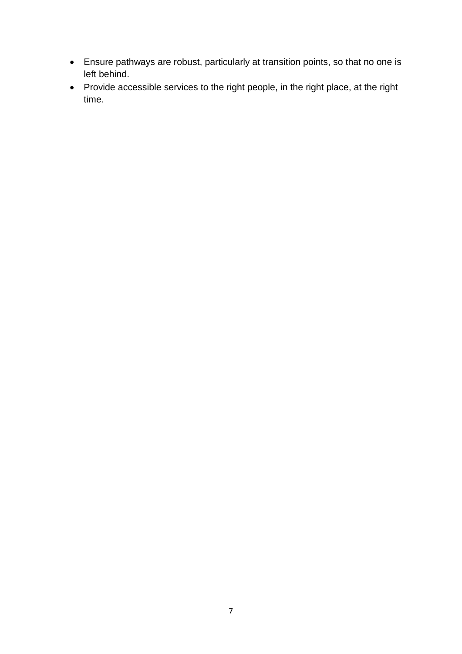- Ensure pathways are robust, particularly at transition points, so that no one is left behind.
- Provide accessible services to the right people, in the right place, at the right time.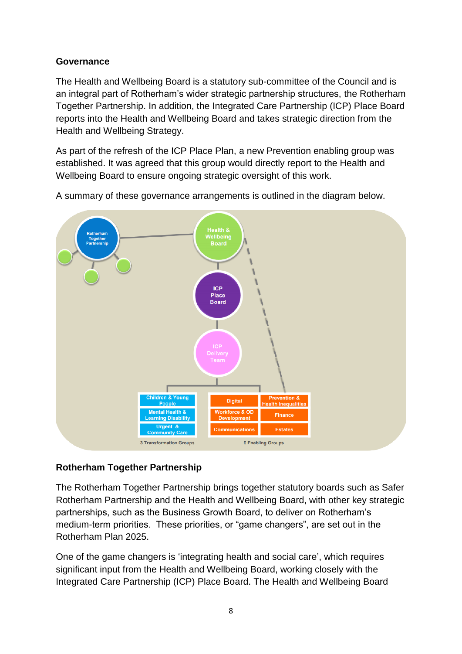# **Governance**

The Health and Wellbeing Board is a statutory sub-committee of the Council and is an integral part of Rotherham's wider strategic partnership structures, the Rotherham Together Partnership. In addition, the Integrated Care Partnership (ICP) Place Board reports into the Health and Wellbeing Board and takes strategic direction from the Health and Wellbeing Strategy.

As part of the refresh of the ICP Place Plan, a new Prevention enabling group was established. It was agreed that this group would directly report to the Health and Wellbeing Board to ensure ongoing strategic oversight of this work.



A summary of these governance arrangements is outlined in the diagram below.

# **Rotherham Together Partnership**

The Rotherham Together Partnership brings together statutory boards such as Safer Rotherham Partnership and the Health and Wellbeing Board, with other key strategic partnerships, such as the Business Growth Board, to deliver on Rotherham's medium-term priorities. These priorities, or "game changers", are set out in the Rotherham Plan 2025.

One of the game changers is 'integrating health and social care', which requires significant input from the Health and Wellbeing Board, working closely with the Integrated Care Partnership (ICP) Place Board. The Health and Wellbeing Board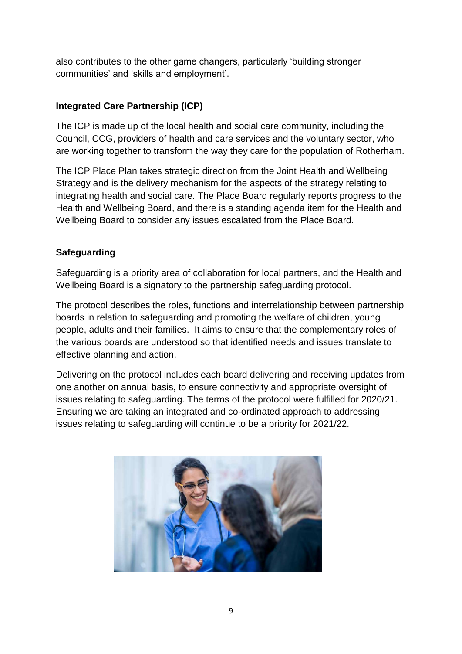also contributes to the other game changers, particularly 'building stronger communities' and 'skills and employment'.

# **Integrated Care Partnership (ICP)**

The ICP is made up of the local health and social care community, including the Council, CCG, providers of health and care services and the voluntary sector, who are working together to transform the way they care for the population of Rotherham.

The ICP Place Plan takes strategic direction from the Joint Health and Wellbeing Strategy and is the delivery mechanism for the aspects of the strategy relating to integrating health and social care. The Place Board regularly reports progress to the Health and Wellbeing Board, and there is a standing agenda item for the Health and Wellbeing Board to consider any issues escalated from the Place Board.

# **Safeguarding**

Safeguarding is a priority area of collaboration for local partners, and the Health and Wellbeing Board is a signatory to the partnership safeguarding protocol.

The protocol describes the roles, functions and interrelationship between partnership boards in relation to safeguarding and promoting the welfare of children, young people, adults and their families. It aims to ensure that the complementary roles of the various boards are understood so that identified needs and issues translate to effective planning and action.

Delivering on the protocol includes each board delivering and receiving updates from one another on annual basis, to ensure connectivity and appropriate oversight of issues relating to safeguarding. The terms of the protocol were fulfilled for 2020/21. Ensuring we are taking an integrated and co-ordinated approach to addressing issues relating to safeguarding will continue to be a priority for 2021/22.

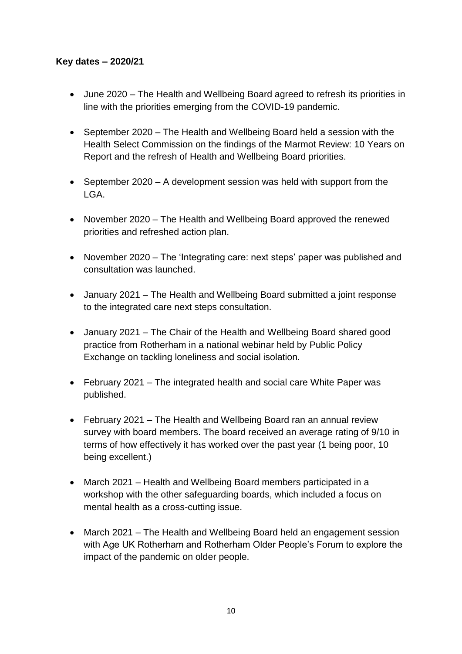#### **Key dates – 2020/21**

- June 2020 The Health and Wellbeing Board agreed to refresh its priorities in line with the priorities emerging from the COVID-19 pandemic.
- September 2020 The Health and Wellbeing Board held a session with the Health Select Commission on the findings of the Marmot Review: 10 Years on Report and the refresh of Health and Wellbeing Board priorities.
- September 2020 A development session was held with support from the LGA.
- November 2020 The Health and Wellbeing Board approved the renewed priorities and refreshed action plan.
- November 2020 The 'Integrating care: next steps' paper was published and consultation was launched.
- January 2021 The Health and Wellbeing Board submitted a joint response to the integrated care next steps consultation.
- January 2021 The Chair of the Health and Wellbeing Board shared good practice from Rotherham in a national webinar held by Public Policy Exchange on tackling loneliness and social isolation.
- February 2021 The integrated health and social care White Paper was published.
- February 2021 The Health and Wellbeing Board ran an annual review survey with board members. The board received an average rating of 9/10 in terms of how effectively it has worked over the past year (1 being poor, 10 being excellent.)
- March 2021 Health and Wellbeing Board members participated in a workshop with the other safeguarding boards, which included a focus on mental health as a cross-cutting issue.
- March 2021 The Health and Wellbeing Board held an engagement session with Age UK Rotherham and Rotherham Older People's Forum to explore the impact of the pandemic on older people.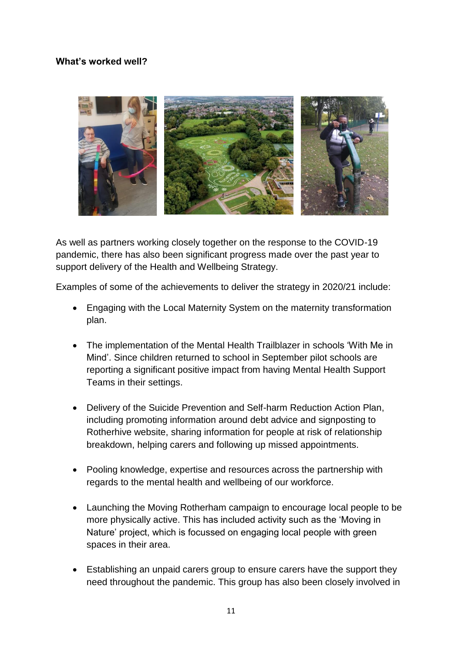#### **What's worked well?**



As well as partners working closely together on the response to the COVID-19 pandemic, there has also been significant progress made over the past year to support delivery of the Health and Wellbeing Strategy.

Examples of some of the achievements to deliver the strategy in 2020/21 include:

- Engaging with the Local Maternity System on the maternity transformation plan.
- The implementation of the Mental Health Trailblazer in schools 'With Me in Mind'. Since children returned to school in September pilot schools are reporting a significant positive impact from having Mental Health Support Teams in their settings.
- Delivery of the Suicide Prevention and Self-harm Reduction Action Plan, including promoting information around debt advice and signposting to Rotherhive website, sharing information for people at risk of relationship breakdown, helping carers and following up missed appointments.
- Pooling knowledge, expertise and resources across the partnership with regards to the mental health and wellbeing of our workforce.
- Launching the Moving Rotherham campaign to encourage local people to be more physically active. This has included activity such as the 'Moving in Nature' project, which is focussed on engaging local people with green spaces in their area.
- Establishing an unpaid carers group to ensure carers have the support they need throughout the pandemic. This group has also been closely involved in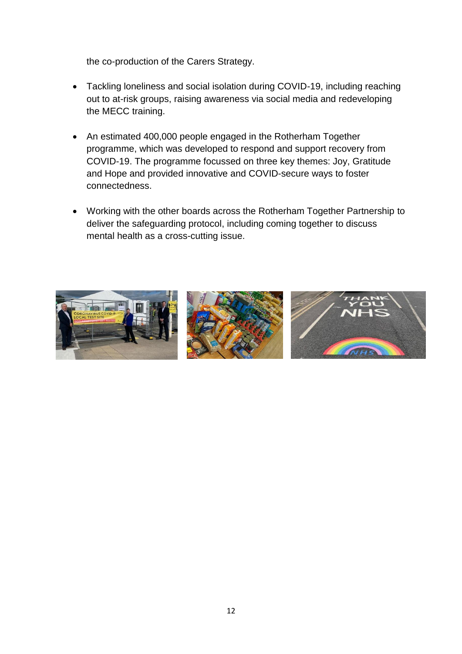the co-production of the Carers Strategy.

- Tackling loneliness and social isolation during COVID-19, including reaching out to at-risk groups, raising awareness via social media and redeveloping the MECC training.
- An estimated 400,000 people engaged in the Rotherham Together programme, which was developed to respond and support recovery from COVID-19. The programme focussed on three key themes: Joy, Gratitude and Hope and provided innovative and COVID-secure ways to foster connectedness.
- Working with the other boards across the Rotherham Together Partnership to deliver the safeguarding protocol, including coming together to discuss mental health as a cross-cutting issue.

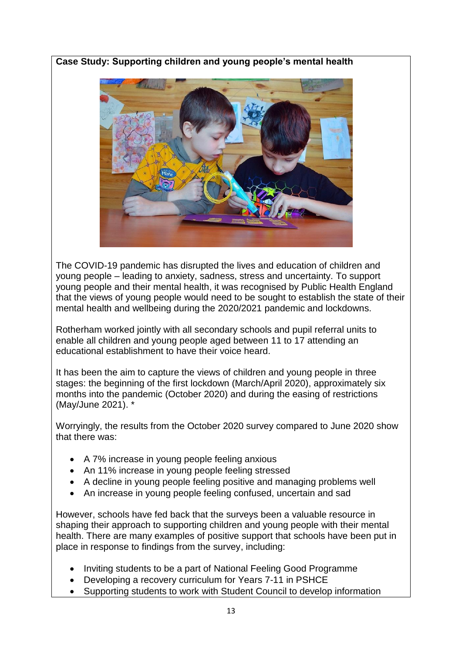# **Case Study: Supporting children and young people's mental health**



The COVID-19 pandemic has disrupted the lives and education of children and young people – leading to anxiety, sadness, stress and uncertainty. To support young people and their mental health, it was recognised by Public Health England that the views of young people would need to be sought to establish the state of their mental health and wellbeing during the 2020/2021 pandemic and lockdowns.

Rotherham worked jointly with all secondary schools and pupil referral units to enable all children and young people aged between 11 to 17 attending an educational establishment to have their voice heard.

It has been the aim to capture the views of children and young people in three stages: the beginning of the first lockdown (March/April 2020), approximately six months into the pandemic (October 2020) and during the easing of restrictions (May/June 2021). \*

Worryingly, the results from the October 2020 survey compared to June 2020 show that there was:

- A 7% increase in young people feeling anxious
- An 11% increase in young people feeling stressed
- A decline in young people feeling positive and managing problems well
- An increase in young people feeling confused, uncertain and sad

However, schools have fed back that the surveys been a valuable resource in shaping their approach to supporting children and young people with their mental health. There are many examples of positive support that schools have been put in place in response to findings from the survey, including:

- Inviting students to be a part of National Feeling Good Programme
- Developing a recovery curriculum for Years 7-11 in PSHCE
- Supporting students to work with Student Council to develop information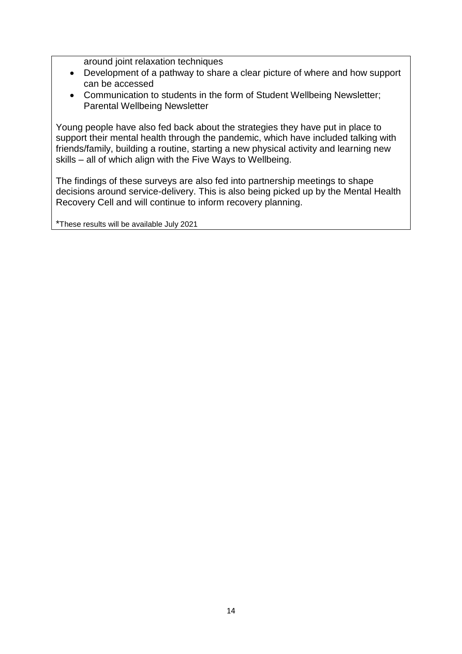around joint relaxation techniques

- Development of a pathway to share a clear picture of where and how support can be accessed
- Communication to students in the form of Student Wellbeing Newsletter; Parental Wellbeing Newsletter

Young people have also fed back about the strategies they have put in place to support their mental health through the pandemic, which have included talking with friends/family, building a routine, starting a new physical activity and learning new skills – all of which align with the Five Ways to Wellbeing.

The findings of these surveys are also fed into partnership meetings to shape decisions around service-delivery. This is also being picked up by the Mental Health Recovery Cell and will continue to inform recovery planning.

\*These results will be available July 2021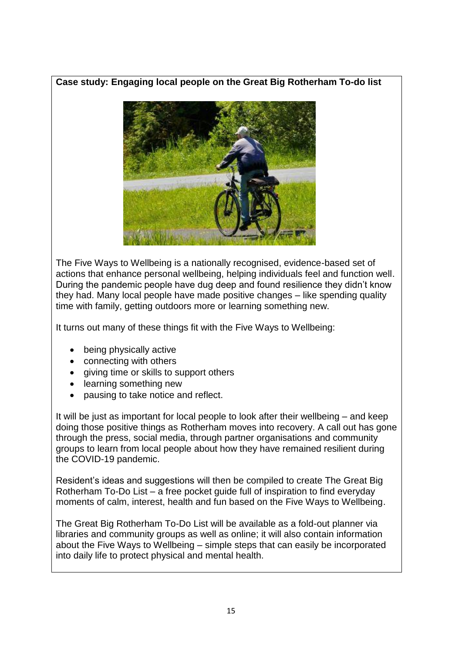**Case study: Engaging local people on the Great Big Rotherham To-do list** 



The Five Ways to Wellbeing is a nationally recognised, evidence-based set of actions that enhance personal wellbeing, helping individuals feel and function well. During the pandemic people have dug deep and found resilience they didn't know they had. Many local people have made positive changes – like spending quality time with family, getting outdoors more or learning something new.

It turns out many of these things fit with the Five Ways to Wellbeing:

- being physically active
- connecting with others
- giving time or skills to support others
- learning something new
- pausing to take notice and reflect.

It will be just as important for local people to look after their wellbeing – and keep doing those positive things as Rotherham moves into recovery. A call out has gone through the press, social media, through partner organisations and community groups to learn from local people about how they have remained resilient during the COVID-19 pandemic.

Resident's ideas and suggestions will then be compiled to create The Great Big Rotherham To-Do List – a free pocket guide full of inspiration to find everyday moments of calm, interest, health and fun based on the Five Ways to Wellbeing.

The Great Big Rotherham To-Do List will be available as a fold-out planner via libraries and community groups as well as online; it will also contain information about the Five Ways to Wellbeing – simple steps that can easily be incorporated into daily life to protect physical and mental health.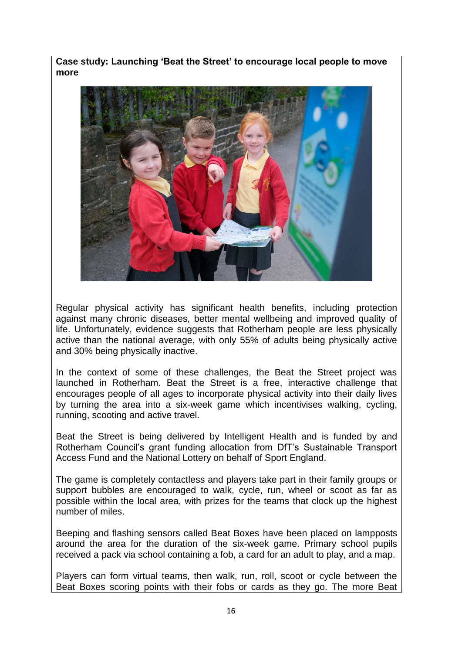**Case study: Launching 'Beat the Street' to encourage local people to move more**



Regular physical activity has significant health benefits, including protection against many chronic diseases, better mental wellbeing and improved quality of life. Unfortunately, evidence suggests that Rotherham people are less physically active than the national average, with only 55% of adults being physically active and 30% being physically inactive.

In the context of some of these challenges, the Beat the Street project was launched in Rotherham. Beat the Street is a free, interactive challenge that encourages people of all ages to incorporate physical activity into their daily lives by turning the area into a six-week game which incentivises walking, cycling, running, scooting and active travel.

Beat the Street is being delivered by Intelligent Health and is funded by and Rotherham Council's grant funding allocation from DfT's Sustainable Transport Access Fund and the National Lottery on behalf of Sport England.

The game is completely contactless and players take part in their family groups or support bubbles are encouraged to walk, cycle, run, wheel or scoot as far as possible within the local area, with prizes for the teams that clock up the highest number of miles.

Beeping and flashing sensors called Beat Boxes have been placed on lampposts around the area for the duration of the six-week game. Primary school pupils received a pack via school containing a fob, a card for an adult to play, and a map.

Players can form virtual teams, then walk, run, roll, scoot or cycle between the Beat Boxes scoring points with their fobs or cards as they go. The more Beat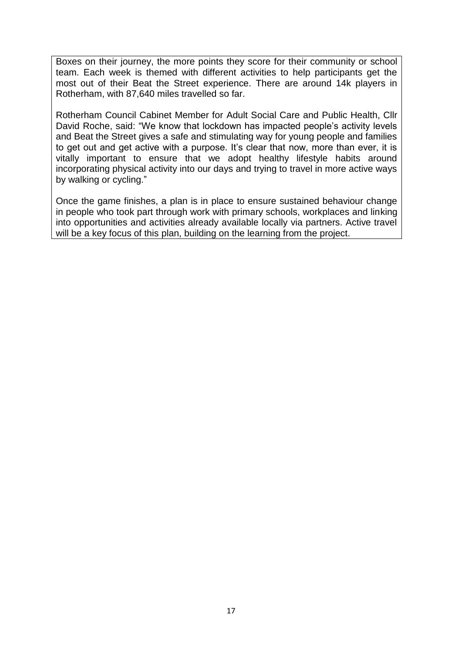Boxes on their journey, the more points they score for their community or school team. Each week is themed with different activities to help participants get the most out of their Beat the Street experience. There are around 14k players in Rotherham, with 87,640 miles travelled so far.

Rotherham Council Cabinet Member for Adult Social Care and Public Health, Cllr David Roche, said: "We know that lockdown has impacted people's activity levels and Beat the Street gives a safe and stimulating way for young people and families to get out and get active with a purpose. It's clear that now, more than ever, it is vitally important to ensure that we adopt healthy lifestyle habits around incorporating physical activity into our days and trying to travel in more active ways by walking or cycling."

Once the game finishes, a plan is in place to ensure sustained behaviour change in people who took part through work with primary schools, workplaces and linking into opportunities and activities already available locally via partners. Active travel will be a key focus of this plan, building on the learning from the project.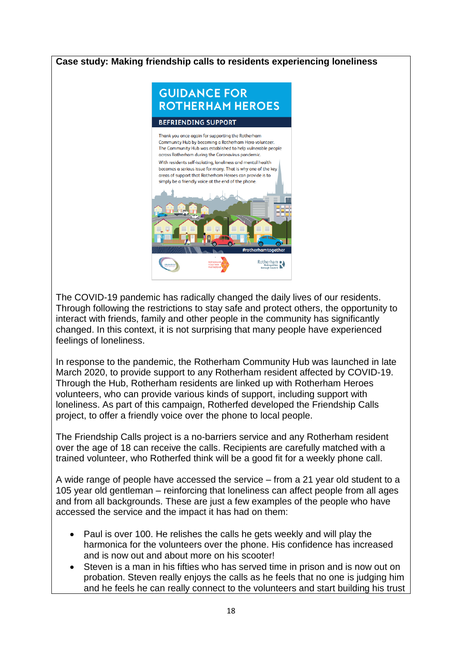#### **Case study: Making friendship calls to residents experiencing loneliness**



The COVID-19 pandemic has radically changed the daily lives of our residents. Through following the restrictions to stay safe and protect others, the opportunity to interact with friends, family and other people in the community has significantly changed. In this context, it is not surprising that many people have experienced feelings of loneliness.

In response to the pandemic, the Rotherham Community Hub was launched in late March 2020, to provide support to any Rotherham resident affected by COVID-19. Through the Hub, Rotherham residents are linked up with Rotherham Heroes volunteers, who can provide various kinds of support, including support with loneliness. As part of this campaign, Rotherfed developed the Friendship Calls project, to offer a friendly voice over the phone to local people.

The Friendship Calls project is a no-barriers service and any Rotherham resident over the age of 18 can receive the calls. Recipients are carefully matched with a trained volunteer, who Rotherfed think will be a good fit for a weekly phone call.

A wide range of people have accessed the service – from a 21 year old student to a 105 year old gentleman – reinforcing that loneliness can affect people from all ages and from all backgrounds. These are just a few examples of the people who have accessed the service and the impact it has had on them:

- Paul is over 100. He relishes the calls he gets weekly and will play the harmonica for the volunteers over the phone. His confidence has increased and is now out and about more on his scooter!
- Steven is a man in his fifties who has served time in prison and is now out on probation. Steven really enjoys the calls as he feels that no one is judging him and he feels he can really connect to the volunteers and start building his trust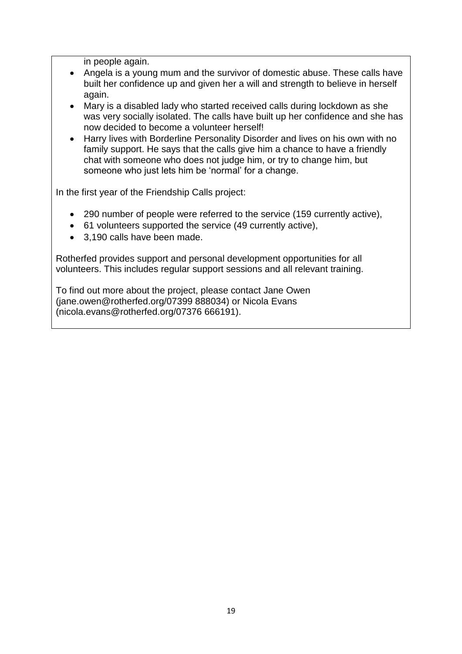in people again.

- Angela is a young mum and the survivor of domestic abuse. These calls have built her confidence up and given her a will and strength to believe in herself again.
- Mary is a disabled lady who started received calls during lockdown as she was very socially isolated. The calls have built up her confidence and she has now decided to become a volunteer herself!
- Harry lives with Borderline Personality Disorder and lives on his own with no family support. He says that the calls give him a chance to have a friendly chat with someone who does not judge him, or try to change him, but someone who just lets him be 'normal' for a change.

In the first year of the Friendship Calls project:

- 290 number of people were referred to the service (159 currently active),
- 61 volunteers supported the service (49 currently active),
- 3,190 calls have been made.

Rotherfed provides support and personal development opportunities for all volunteers. This includes regular support sessions and all relevant training.

To find out more about the project, please contact Jane Owen (jane.owen@rotherfed.org/07399 888034) or Nicola Evans (nicola.evans@rotherfed.org/07376 666191).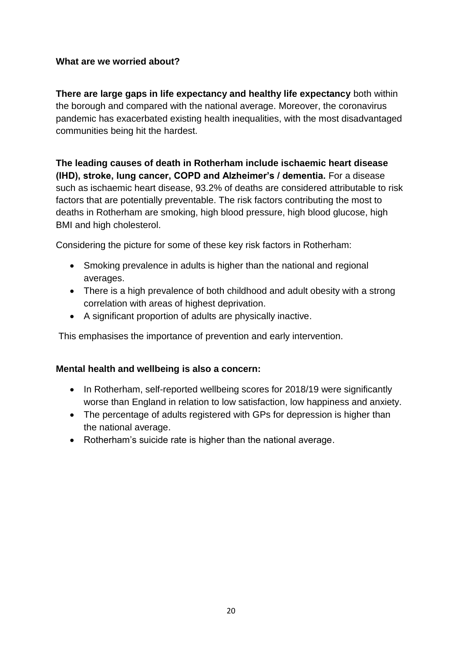#### **What are we worried about?**

**There are large gaps in life expectancy and healthy life expectancy** both within the borough and compared with the national average. Moreover, the coronavirus pandemic has exacerbated existing health inequalities, with the most disadvantaged communities being hit the hardest.

**The leading causes of death in Rotherham include ischaemic heart disease (IHD), stroke, lung cancer, COPD and Alzheimer's / dementia.** For a disease such as ischaemic heart disease, 93.2% of deaths are considered attributable to risk factors that are potentially preventable. The risk factors contributing the most to deaths in Rotherham are smoking, high blood pressure, high blood glucose, high BMI and high cholesterol.

Considering the picture for some of these key risk factors in Rotherham:

- Smoking prevalence in adults is higher than the national and regional averages.
- There is a high prevalence of both childhood and adult obesity with a strong correlation with areas of highest deprivation.
- A significant proportion of adults are physically inactive.

This emphasises the importance of prevention and early intervention.

#### **Mental health and wellbeing is also a concern:**

- In Rotherham, self-reported wellbeing scores for 2018/19 were significantly worse than England in relation to low satisfaction, low happiness and anxiety.
- The percentage of adults registered with GPs for depression is higher than the national average.
- Rotherham's suicide rate is higher than the national average.